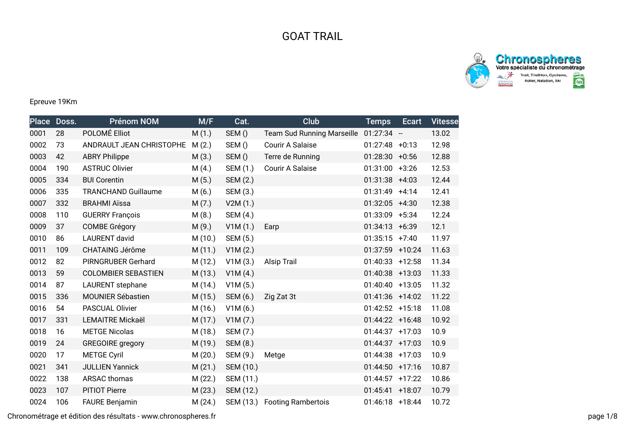## GOAT TRAIL



**Chronospheres**<br>Votre spécialiste du chronométrage  $rac{8}{3}$ Trail, Triathlon, Cyclisme,<br>Roller, Natation, Ski  $rac{1}{\left(\frac{1}{2}\right)^{1/2}}$ DEEATION

## Epreuve 19Km

| <b>Place</b> | Doss. | <b>Prénom NOM</b>          | M/F     | Cat.      | Club                              | <b>Temps</b>      | Ecart | <b>Vitesse</b> |
|--------------|-------|----------------------------|---------|-----------|-----------------------------------|-------------------|-------|----------------|
| 0001         | 28    | POLOMÉ Elliot              | M(1.)   | SEM()     | <b>Team Sud Running Marseille</b> | $01:27:34 -$      |       | 13.02          |
| 0002         | 73    | ANDRAULT JEAN CHRISTOPHE   | M(2.)   | SEM()     | Courir A Salaise                  | $01:27:48$ +0:13  |       | 12.98          |
| 0003         | 42    | <b>ABRY Philippe</b>       | M(3.)   | SEM()     | Terre de Running                  | $01:28:30 + 0:56$ |       | 12.88          |
| 0004         | 190   | <b>ASTRUC Olivier</b>      | M(4.)   | SEM (1.)  | Courir A Salaise                  | $01:31:00$ +3:26  |       | 12.53          |
| 0005         | 334   | <b>BUI Corentin</b>        | M(5.)   | SEM (2.)  |                                   | $01:31:38$ +4:03  |       | 12.44          |
| 0006         | 335   | <b>TRANCHAND Guillaume</b> | M(6.)   | SEM (3.)  |                                   | $01:31:49$ +4:14  |       | 12.41          |
| 0007         | 332   | <b>BRAHMI Aïssa</b>        | M(7.)   | V2M(1.)   |                                   | $01:32:05$ +4:30  |       | 12.38          |
| 0008         | 110   | <b>GUERRY François</b>     | M(8.)   | SEM (4.)  |                                   | $01:33:09$ +5:34  |       | 12.24          |
| 0009         | 37    | <b>COMBE Grégory</b>       | M(9.)   | V1M(1.)   | Earp                              | $01:34:13 + 6:39$ |       | 12.1           |
| 0010         | 86    | <b>LAURENT</b> david       | M(10.)  | SEM (5.)  |                                   | $01:35:15 +7:40$  |       | 11.97          |
| 0011         | 109   | <b>CHATAING Jérôme</b>     | M(11.)  | V1M(2.)   |                                   | 01:37:59 +10:24   |       | 11.63          |
| 0012         | 82    | PIRNGRUBER Gerhard         | M (12.) | V1M(3.)   | <b>Alsip Trail</b>                | $01:40:33$ +12:58 |       | 11.34          |
| 0013         | 59    | <b>COLOMBIER SEBASTIEN</b> | M (13.) | V1M(4.)   |                                   | $01:40:38$ +13:03 |       | 11.33          |
| 0014         | 87    | LAURENT stephane           | M (14.) | V1M(5.)   |                                   | $01:40:40$ +13:05 |       | 11.32          |
| 0015         | 336   | <b>MOUNIER Sébastien</b>   | M(15.)  | SEM (6.)  | Zig Zat 3t                        | 01:41:36 +14:02   |       | 11.22          |
| 0016         | 54    | PASCUAL Olivier            | M(16.)  | V1M(6.)   |                                   | $01:42:52$ +15:18 |       | 11.08          |
| 0017         | 331   | <b>LEMAITRE Mickaël</b>    | M(17.)  | V1M(7.)   |                                   | 01:44:22 +16:48   |       | 10.92          |
| 0018         | 16    | <b>METGE Nicolas</b>       | M (18.) | SEM (7.)  |                                   | 01:44:37 +17:03   |       | 10.9           |
| 0019         | 24    | <b>GREGOIRE</b> gregory    | M (19.) | SEM (8.)  |                                   | $01:44:37$ +17:03 |       | 10.9           |
| 0020         | 17    | <b>METGE Cyril</b>         | M(20.)  | SEM (9.)  | Metge                             | 01:44:38 +17:03   |       | 10.9           |
| 0021         | 341   | <b>JULLIEN Yannick</b>     | M(21.)  | SEM (10.) |                                   | $01:44:50$ +17:16 |       | 10.87          |
| 0022         | 138   | <b>ARSAC thomas</b>        | M(22.)  | SEM (11.) |                                   | 01:44:57 +17:22   |       | 10.86          |
| 0023         | 107   | <b>PITIOT Pierre</b>       | M(23.)  | SEM (12.) |                                   | $01:45:41$ +18:07 |       | 10.79          |
| 0024         | 106   | <b>FAURE Benjamin</b>      | M(24.)  |           | SEM (13.) Footing Rambertois      | $01:46:18$ +18:44 |       | 10.72          |

Chronométrage et édition des résultats - www.chronospheres.fr page 1/8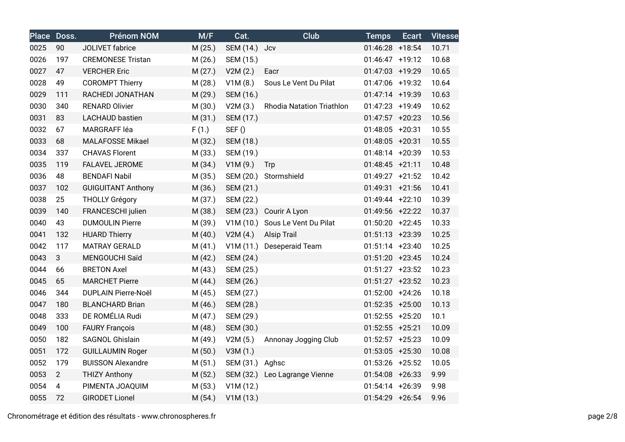|      | Place Doss.    | <b>Prénom NOM</b>          | M/F     | Cat.            | Club                             | <b>Temps</b>      | <b>Ecart</b> | <b>Vitesse</b> |
|------|----------------|----------------------------|---------|-----------------|----------------------------------|-------------------|--------------|----------------|
| 0025 | 90             | JOLIVET fabrice            | M(25.)  | SEM (14.)       | Jcv                              | 01:46:28 +18:54   |              | 10.71          |
| 0026 | 197            | <b>CREMONESE Tristan</b>   | M(26.)  | SEM (15.)       |                                  | 01:46:47 +19:12   |              | 10.68          |
| 0027 | 47             | <b>VERCHER Eric</b>        | M(27.)  | V2M(2.)         | Eacr                             | 01:47:03 +19:29   |              | 10.65          |
| 0028 | 49             | <b>COROMPT Thierry</b>     | M(28.)  | V1M(8.)         | Sous Le Vent Du Pilat            | 01:47:06 +19:32   |              | 10.64          |
| 0029 | 111            | RACHEDI JONATHAN           | M (29.) | SEM (16.)       |                                  | 01:47:14 +19:39   |              | 10.63          |
| 0030 | 340            | <b>RENARD Olivier</b>      | M (30.) | V2M(3.)         | <b>Rhodia Natation Triathlon</b> | 01:47:23 +19:49   |              | 10.62          |
| 0031 | 83             | <b>LACHAUD</b> bastien     | M(31.)  | SEM (17.)       |                                  | $01:47:57$ +20:23 |              | 10.56          |
| 0032 | 67             | MARGRAFF léa               | F(1.)   | SEF()           |                                  | 01:48:05 +20:31   |              | 10.55          |
| 0033 | 68             | <b>MALAFOSSE Mikael</b>    | M (32.) | SEM (18.)       |                                  | 01:48:05 +20:31   |              | 10.55          |
| 0034 | 337            | <b>CHAVAS Florent</b>      | M (33.) | SEM (19.)       |                                  | 01:48:14 +20:39   |              | 10.53          |
| 0035 | 119            | FALAVEL JEROME             | M (34.) | V1M(9.)         | Trp                              | $01:48:45 +21:11$ |              | 10.48          |
| 0036 | 48             | <b>BENDAFI Nabil</b>       | M (35.) | SEM (20.)       | Stormshield                      | 01:49:27 +21:52   |              | 10.42          |
| 0037 | 102            | <b>GUIGUITANT Anthony</b>  | M (36.) | SEM (21.)       |                                  | $01:49:31 +21:56$ |              | 10.41          |
| 0038 | 25             | <b>THOLLY Grégory</b>      | M (37.) | SEM (22.)       |                                  | 01:49:44 +22:10   |              | 10.39          |
| 0039 | 140            | FRANCESCHI julien          | M (38.) | SEM (23.)       | Courir A Lyon                    | 01:49:56 +22:22   |              | 10.37          |
| 0040 | 43             | <b>DUMOULIN Pierre</b>     | M (39.) |                 | V1M (10.) Sous Le Vent Du Pilat  | $01:50:20$ +22:45 |              | 10.33          |
| 0041 | 132            | <b>HUARD Thierry</b>       | M(40.)  | V2M(4.)         | <b>Alsip Trail</b>               | $01:51:13 +23:39$ |              | 10.25          |
| 0042 | 117            | <b>MATRAY GERALD</b>       | M(41.)  |                 | V1M (11.) Deseperaid Team        | $01:51:14$ +23:40 |              | 10.25          |
| 0043 | 3              | MENGOUCHI Saïd             | M(42.)  | SEM (24.)       |                                  | $01:51:20$ +23:45 |              | 10.24          |
| 0044 | 66             | <b>BRETON Axel</b>         | M(43.)  | SEM (25.)       |                                  | $01:51:27$ +23:52 |              | 10.23          |
| 0045 | 65             | <b>MARCHET Pierre</b>      | M(44.)  | SEM (26.)       |                                  | $01:51:27$ +23:52 |              | 10.23          |
| 0046 | 344            | <b>DUPLAIN Pierre-Noël</b> | M (45.) | SEM (27.)       |                                  | $01:52:00$ +24:26 |              | 10.18          |
| 0047 | 180            | <b>BLANCHARD Brian</b>     | M(46.)  | SEM (28.)       |                                  | $01:52:35$ +25:00 |              | 10.13          |
| 0048 | 333            | DE ROMÉLIA Rudi            | M(47.)  | SEM (29.)       |                                  | $01:52:55$ +25:20 |              | 10.1           |
| 0049 | 100            | <b>FAURY François</b>      | M(48.)  | SEM (30.)       |                                  | $01:52:55$ +25:21 |              | 10.09          |
| 0050 | 182            | SAGNOL Ghislain            | M (49.) | V2M(5.)         | Annonay Jogging Club             | $01:52:57$ +25:23 |              | 10.09          |
| 0051 | 172            | <b>GUILLAUMIN Roger</b>    | M(50.)  | V3M (1.)        |                                  | $01:53:05$ +25:30 |              | 10.08          |
| 0052 | 179            | <b>BUISSON Alexandre</b>   | M(51.)  | SEM (31.) Aghsc |                                  | $01:53:26$ +25:52 |              | 10.05          |
| 0053 | $\overline{2}$ | <b>THIZY Anthony</b>       | M(52.)  |                 | SEM (32.) Leo Lagrange Vienne    | $01:54:08$ +26:33 |              | 9.99           |
| 0054 | 4              | PIMENTA JOAQUIM            | M(53.)  | V1M(12.)        |                                  | 01:54:14 +26:39   |              | 9.98           |
| 0055 | 72             | <b>GIRODET Lionel</b>      | M(54.)  | V1M(13.)        |                                  | 01:54:29 +26:54   |              | 9.96           |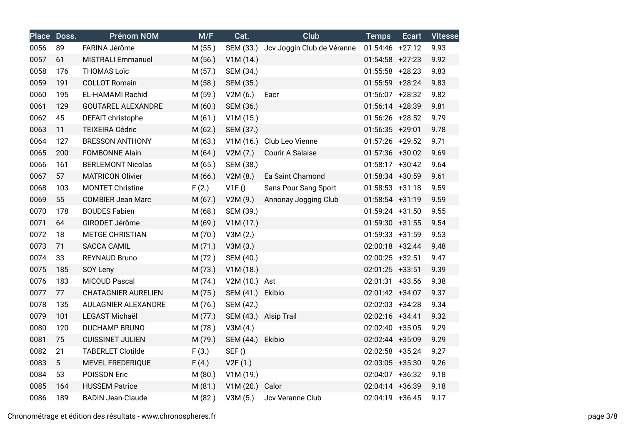|      | Place Doss. | <b>Prénom NOM</b>          | M/F     | Cat.             | <b>Club</b>                          | <b>Temps</b>      | <b>Ecart</b> | <b>Vitesse</b> |
|------|-------------|----------------------------|---------|------------------|--------------------------------------|-------------------|--------------|----------------|
| 0056 | 89          | FARINA Jérôme              | M (55.) |                  | SEM (33.) Jcv Joggin Club de Véranne | $01:54:46$ +27:12 |              | 9.93           |
| 0057 | 61          | <b>MISTRALI Emmanuel</b>   | M (56.) | V1M(14.)         |                                      | $01:54:58$ +27:23 |              | 9.92           |
| 0058 | 176         | <b>THOMAS Loïc</b>         | M(57.)  | SEM (34.)        |                                      | $01:55:58$ +28:23 |              | 9.83           |
| 0059 | 191         | <b>COLLOT Romain</b>       | M (58.) | SEM (35.)        |                                      | 01:55:59 +28:24   |              | 9.83           |
| 0060 | 195         | EL-HAMAMI Rachid           | M (59.) | V2M(6.)          | Eacr                                 | $01:56:07$ +28:32 |              | 9.82           |
| 0061 | 129         | <b>GOUTAREL ALEXANDRE</b>  | M(60.)  | SEM (36.)        |                                      | 01:56:14 +28:39   |              | 9.81           |
| 0062 | 45          | DEFAIT christophe          | M(61.)  | V1M(15.)         |                                      | $01:56:26$ +28:52 |              | 9.79           |
| 0063 | 11          | <b>TEIXEIRA Cédric</b>     | M(62.)  | SEM (37.)        |                                      | $01:56:35$ +29:01 |              | 9.78           |
| 0064 | 127         | <b>BRESSON ANTHONY</b>     | M(63.)  |                  | V1M (16.) Club Leo Vienne            | 01:57:26 +29:52   |              | 9.71           |
| 0065 | 200         | <b>FOMBONNE Alain</b>      | M(64.)  | V2M(7.)          | Courir A Salaise                     | 01:57:36 +30:02   |              | 9.69           |
| 0066 | 161         | <b>BERLEMONT Nicolas</b>   | M (65.) | SEM (38.)        |                                      | 01:58:17 +30:42   |              | 9.64           |
| 0067 | 57          | <b>MATRICON Olivier</b>    | M(66.)  | V2M(8.)          | Ea Saint Chamond                     | 01:58:34 +30:59   |              | 9.61           |
| 0068 | 103         | <b>MONTET Christine</b>    | F(2.)   | V1F()            | Sans Pour Sang Sport                 | $01:58:53$ +31:18 |              | 9.59           |
| 0069 | 55          | <b>COMBIER Jean Marc</b>   | M(67.)  | V2M(9.)          | Annonay Jogging Club                 | 01:58:54 +31:19   |              | 9.59           |
| 0070 | 178         | <b>BOUDES Fabien</b>       | M(68.)  | SEM (39.)        |                                      | 01:59:24 +31:50   |              | 9.55           |
| 0071 | 64          | GIRODET Jérôme             | M (69.) | V1M(17.)         |                                      | $01:59:30 +31:55$ |              | 9.54           |
| 0072 | 18          | <b>METGE CHRISTIAN</b>     | M(70.)  | V3M(2.)          |                                      | 01:59:33 +31:59   |              | 9.53           |
| 0073 | 71          | <b>SACCA CAMIL</b>         | M(71.)  | V3M(3.)          |                                      | 02:00:18 +32:44   |              | 9.48           |
| 0074 | 33          | <b>REYNAUD Bruno</b>       | M(72.)  | SEM (40.)        |                                      | 02:00:25 +32:51   |              | 9.47           |
| 0075 | 185         | SOY Leny                   | M (73.) | V1M(18.)         |                                      | 02:01:25 +33:51   |              | 9.39           |
| 0076 | 183         | <b>MICOUD Pascal</b>       | M (74.) | V2M (10.) Ast    |                                      | 02:01:31 +33:56   |              | 9.38           |
| 0077 | 77          | <b>CHATAGNIER AURELIEN</b> | M (75.) | SEM (41.) Ekibio |                                      | 02:01:42 +34:07   |              | 9.37           |
| 0078 | 135         | AULAGNIER ALEXANDRE        | M (76.) | SEM (42.)        |                                      | 02:02:03 +34:28   |              | 9.34           |
| 0079 | 101         | LEGAST Michaël             | M (77.) |                  | SEM (43.) Alsip Trail                | 02:02:16 +34:41   |              | 9.32           |
| 0080 | 120         | <b>DUCHAMP BRUNO</b>       | M (78.) | V3M(4.)          |                                      | 02:02:40 +35:05   |              | 9.29           |
| 0081 | 75          | <b>CUISSINET JULIEN</b>    | M (79.) | SEM (44.)        | Ekibio                               | 02:02:44 +35:09   |              | 9.29           |
| 0082 | 21          | <b>TABERLET Clotilde</b>   | F(3.)   | SEF()            |                                      | 02:02:58 +35:24   |              | 9.27           |
| 0083 | 5           | MEVEL FREDERIQUE           | F(4.)   | V2F(1.)          |                                      | 02:03:05 +35:30   |              | 9.26           |
| 0084 | 53          | POISSON Eric               | M(80.)  | V1M(19.)         |                                      | 02:04:07 +36:32   |              | 9.18           |
| 0085 | 164         | <b>HUSSEM Patrice</b>      | M(81.)  | V1M (20.) Calor  |                                      | 02:04:14 +36:39   |              | 9.18           |
| 0086 | 189         | <b>BADIN Jean-Claude</b>   | M (82.) | V3M(5.)          | Jcv Veranne Club                     | 02:04:19 +36:45   |              | 9.17           |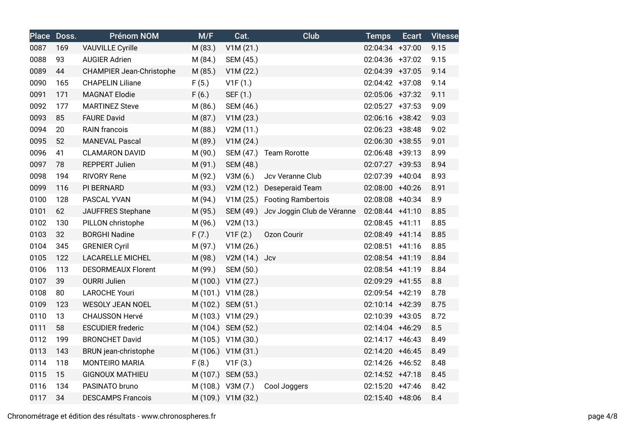|      | Place Doss. | <b>Prénom NOM</b>               | M/F     | Cat.               | Club                                 | <b>Temps</b>      | <b>Ecart</b> | <b>Vitesse</b> |
|------|-------------|---------------------------------|---------|--------------------|--------------------------------------|-------------------|--------------|----------------|
| 0087 | 169         | <b>VAUVILLE Cyrille</b>         | M (83.) | V1M(21.)           |                                      | 02:04:34 +37:00   |              | 9.15           |
| 0088 | 93          | <b>AUGIER Adrien</b>            | M (84.) | SEM (45.)          |                                      | 02:04:36 +37:02   |              | 9.15           |
| 0089 | 44          | <b>CHAMPIER Jean-Christophe</b> | M (85.) | V1M (22.)          |                                      | 02:04:39 +37:05   |              | 9.14           |
| 0090 | 165         | <b>CHAPELIN Liliane</b>         | F(5.)   | V1F(1.)            |                                      | 02:04:42 +37:08   |              | 9.14           |
| 0091 | 171         | <b>MAGNAT Elodie</b>            | F(6.)   | SEF (1.)           |                                      | 02:05:06 +37:32   |              | 9.11           |
| 0092 | 177         | <b>MARTINEZ Steve</b>           | M (86.) | SEM (46.)          |                                      | $02:05:27$ +37:53 |              | 9.09           |
| 0093 | 85          | <b>FAURE David</b>              | M (87.) | V1M(23.)           |                                      | 02:06:16 +38:42   |              | 9.03           |
| 0094 | 20          | <b>RAIN</b> francois            | M (88.) | V2M (11.)          |                                      | 02:06:23 +38:48   |              | 9.02           |
| 0095 | 52          | <b>MANEVAL Pascal</b>           | M (89.) | V1M(24.)           |                                      | 02:06:30 +38:55   |              | 9.01           |
| 0096 | 41          | <b>CLAMARON DAVID</b>           | M (90.) |                    | SEM (47.) Team Rorotte               | 02:06:48 +39:13   |              | 8.99           |
| 0097 | 78          | <b>REPPERT Julien</b>           | M (91.) | SEM (48.)          |                                      | 02:07:27 +39:53   |              | 8.94           |
| 0098 | 194         | <b>RIVORY Rene</b>              | M (92.) | V3M(6.)            | Jcv Veranne Club                     | 02:07:39 +40:04   |              | 8.93           |
| 0099 | 116         | PI BERNARD                      | M (93.) |                    | V2M (12.) Deseperaid Team            | 02:08:00 +40:26   |              | 8.91           |
| 0100 | 128         | PASCAL YVAN                     | M (94.) |                    | V1M (25.) Footing Rambertois         | 02:08:08 +40:34   |              | 8.9            |
| 0101 | 62          | JAUFFRES Stephane               | M (95.) |                    | SEM (49.) Jcv Joggin Club de Véranne | 02:08:44 +41:10   |              | 8.85           |
| 0102 | 130         | PILLON christophe               | M (96.) | V2M (13.)          |                                      | 02:08:45 +41:11   |              | 8.85           |
| 0103 | 32          | <b>BORGHI Nadine</b>            | F(7.)   | V1F(2.)            | Ozon Courir                          | 02:08:49 +41:14   |              | 8.85           |
| 0104 | 345         | <b>GRENIER Cyril</b>            | M (97.) | V1M (26.)          |                                      | 02:08:51 +41:16   |              | 8.85           |
| 0105 | 122         | <b>LACARELLE MICHEL</b>         | M (98.) | V2M (14.) Jcv      |                                      | 02:08:54 +41:19   |              | 8.84           |
| 0106 | 113         | <b>DESORMEAUX Florent</b>       | M (99.) | SEM (50.)          |                                      | $02:08:54$ +41:19 |              | 8.84           |
| 0107 | 39          | <b>OURRI Julien</b>             |         | M (100.) V1M (27.) |                                      | 02:09:29 +41:55   |              | 8.8            |
| 0108 | 80          | <b>LAROCHE Youri</b>            |         | M (101.) V1M (28.) |                                      | 02:09:54 +42:19   |              | 8.78           |
| 0109 | 123         | <b>WESOLY JEAN NOEL</b>         |         | M (102.) SEM (51.) |                                      | 02:10:14 +42:39   |              | 8.75           |
| 0110 | 13          | <b>CHAUSSON Hervé</b>           |         | M (103.) V1M (29.) |                                      | 02:10:39 +43:05   |              | 8.72           |
| 0111 | 58          | <b>ESCUDIER frederic</b>        |         | M (104.) SEM (52.) |                                      | 02:14:04 +46:29   |              | 8.5            |
| 0112 | 199         | <b>BRONCHET David</b>           |         | M (105.) V1M (30.) |                                      | 02:14:17 +46:43   |              | 8.49           |
| 0113 | 143         | BRUN jean-christophe            |         | M (106.) V1M (31.) |                                      | 02:14:20 +46:45   |              | 8.49           |
| 0114 | 118         | <b>MONTEIRO MARIA</b>           | F(8.)   | V1F(3.)            |                                      | 02:14:26 +46:52   |              | 8.48           |
| 0115 | 15          | <b>GIGNOUX MATHIEU</b>          |         | M (107.) SEM (53.) |                                      | 02:14:52 +47:18   |              | 8.45           |
| 0116 | 134         | PASINATO bruno                  |         | M (108.) V3M (7.)  | Cool Joggers                         | 02:15:20 +47:46   |              | 8.42           |
| 0117 | 34          | <b>DESCAMPS Francois</b>        |         | M (109.) V1M (32.) |                                      | 02:15:40 +48:06   |              | 8.4            |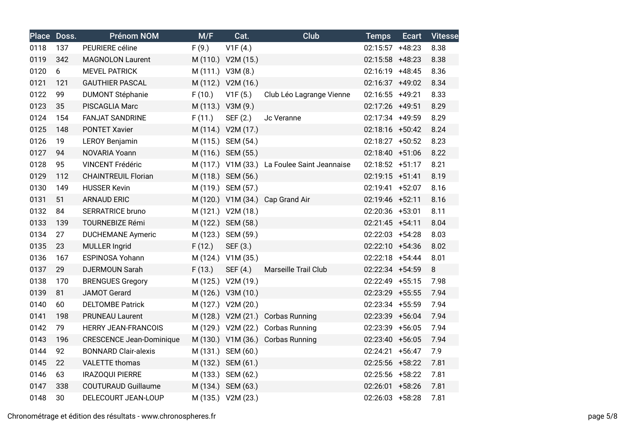|      | Place Doss. | Prénom NOM                      | M/F    | Cat.               | <b>Club</b>                                  | <b>Temps</b>    | <b>Ecart</b> | <b>Vitesse</b> |
|------|-------------|---------------------------------|--------|--------------------|----------------------------------------------|-----------------|--------------|----------------|
| 0118 | 137         | PEURIERE céline                 | F(9.)  | V1F(4.)            |                                              | 02:15:57 +48:23 |              | 8.38           |
| 0119 | 342         | <b>MAGNOLON Laurent</b>         |        | M (110.) V2M (15.) |                                              | 02:15:58 +48:23 |              | 8.38           |
| 0120 | 6           | <b>MEVEL PATRICK</b>            |        | M (111.) V3M (8.)  |                                              | 02:16:19 +48:45 |              | 8.36           |
| 0121 | 121         | <b>GAUTHIER PASCAL</b>          |        | M (112.) V2M (16.) |                                              | 02:16:37 +49:02 |              | 8.34           |
| 0122 | 99          | <b>DUMONT Stéphanie</b>         | F(10.) | V1F(5.)            | Club Léo Lagrange Vienne                     | 02:16:55 +49:21 |              | 8.33           |
| 0123 | 35          | PISCAGLIA Marc                  |        | M (113.) V3M (9.)  |                                              | 02:17:26 +49:51 |              | 8.29           |
| 0124 | 154         | <b>FANJAT SANDRINE</b>          | F(11.) | SEF (2.)           | Jc Veranne                                   | 02:17:34 +49:59 |              | 8.29           |
| 0125 | 148         | <b>PONTET Xavier</b>            |        | M (114.) V2M (17.) |                                              | 02:18:16 +50:42 |              | 8.24           |
| 0126 | 19          | LEROY Benjamin                  |        | M (115.) SEM (54.) |                                              | 02:18:27 +50:52 |              | 8.23           |
| 0127 | 94          | NOVARIA Yoann                   |        | M (116.) SEM (55.) |                                              | 02:18:40 +51:06 |              | 8.22           |
| 0128 | 95          | <b>VINCENT Frédéric</b>         |        |                    | M (117.) V1M (33.) La Foulee Saint Jeannaise | 02:18:52 +51:17 |              | 8.21           |
| 0129 | 112         | <b>CHAINTREUIL Florian</b>      |        | M (118.) SEM (56.) |                                              | 02:19:15 +51:41 |              | 8.19           |
| 0130 | 149         | <b>HUSSER Kevin</b>             |        | M (119.) SEM (57.) |                                              | 02:19:41 +52:07 |              | 8.16           |
| 0131 | 51          | <b>ARNAUD ERIC</b>              |        |                    | M (120.) V1M (34.) Cap Grand Air             | 02:19:46 +52:11 |              | 8.16           |
| 0132 | 84          | <b>SERRATRICE bruno</b>         |        | M (121.) V2M (18.) |                                              | 02:20:36 +53:01 |              | 8.11           |
| 0133 | 139         | <b>TOURNEBIZE Rémi</b>          |        | M (122.) SEM (58.) |                                              | 02:21:45 +54:11 |              | 8.04           |
| 0134 | 27          | <b>DUCHEMANE Aymeric</b>        |        | M (123.) SEM (59.) |                                              | 02:22:03 +54:28 |              | 8.03           |
| 0135 | 23          | <b>MULLER Ingrid</b>            | F(12.) | SEF (3.)           |                                              | 02:22:10 +54:36 |              | 8.02           |
| 0136 | 167         | <b>ESPINOSA Yohann</b>          |        | M (124.) V1M (35.) |                                              | 02:22:18 +54:44 |              | 8.01           |
| 0137 | 29          | <b>DJERMOUN Sarah</b>           | F(13.) | SEF (4.)           | Marseille Trail Club                         | 02:22:34 +54:59 |              | 8              |
| 0138 | 170         | <b>BRENGUES Gregory</b>         |        | M (125.) V2M (19.) |                                              | 02:22:49 +55:15 |              | 7.98           |
| 0139 | 81          | <b>JAMOT Gerard</b>             |        | M (126.) V3M (10.) |                                              | 02:23:29 +55:55 |              | 7.94           |
| 0140 | 60          | <b>DELTOMBE Patrick</b>         |        | M (127.) V2M (20.) |                                              | 02:23:34 +55:59 |              | 7.94           |
| 0141 | 198         | <b>PRUNEAU Laurent</b>          |        |                    | M (128.) V2M (21.) Corbas Running            | 02:23:39 +56:04 |              | 7.94           |
| 0142 | 79          | <b>HERRY JEAN-FRANCOIS</b>      |        |                    | M (129.) V2M (22.) Corbas Running            | 02:23:39 +56:05 |              | 7.94           |
| 0143 | 196         | <b>CRESCENCE Jean-Dominique</b> |        |                    | M (130.) V1M (36.) Corbas Running            | 02:23:40 +56:05 |              | 7.94           |
| 0144 | 92          | <b>BONNARD Clair-alexis</b>     |        | M (131.) SEM (60.) |                                              | 02:24:21        | $+56:47$     | 7.9            |
| 0145 | 22          | <b>VALETTE</b> thomas           |        | M (132.) SEM (61.) |                                              | 02:25:56 +58:22 |              | 7.81           |
| 0146 | 63          | <b>IRAZOQUI PIERRE</b>          |        | M (133.) SEM (62.) |                                              | 02:25:56 +58:22 |              | 7.81           |
| 0147 | 338         | <b>COUTURAUD Guillaume</b>      |        | M (134.) SEM (63.) |                                              | 02:26:01 +58:26 |              | 7.81           |
| 0148 | 30          | DELECOURT JEAN-LOUP             |        | M (135.) V2M (23.) |                                              | 02:26:03 +58:28 |              | 7.81           |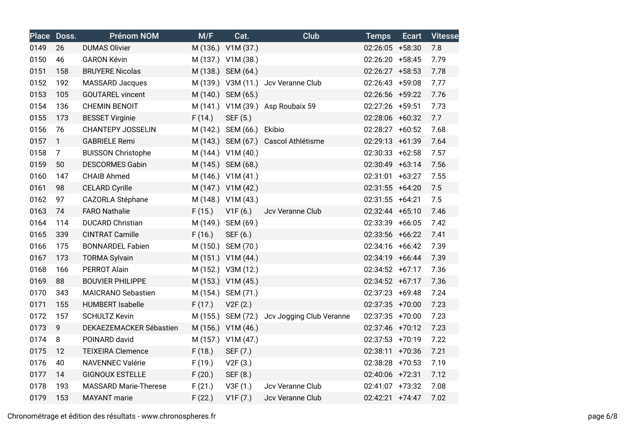|      | Place Doss.    | <b>Prénom NOM</b>            | M/F    | Cat.               | <b>Club</b>                                 | <b>Temps</b>    | <b>Ecart</b> | <b>Vitesse</b> |
|------|----------------|------------------------------|--------|--------------------|---------------------------------------------|-----------------|--------------|----------------|
| 0149 | 26             | <b>DUMAS Olivier</b>         |        | M (136.) V1M (37.) |                                             | 02:26:05 +58:30 |              | 7.8            |
| 0150 | 46             | <b>GARON Kévin</b>           |        | M (137.) V1M (38.) |                                             | 02:26:20 +58:45 |              | 7.79           |
| 0151 | 158            | <b>BRUYERE Nicolas</b>       |        | M (138.) SEM (64.) |                                             | 02:26:27 +58:53 |              | 7.78           |
| 0152 | 192            | <b>MASSARD Jacques</b>       |        |                    | M (139.) V3M (11.) Jcv Veranne Club         | 02:26:43 +59:08 |              | 7.77           |
| 0153 | 105            | <b>GOUTAREL vincent</b>      |        | M (140.) SEM (65.) |                                             | 02:26:56 +59:22 |              | 7.76           |
| 0154 | 136            | <b>CHEMIN BENOIT</b>         |        |                    | M (141.) V1M (39.) Asp Roubaix 59           | 02:27:26 +59:51 |              | 7.73           |
| 0155 | 173            | <b>BESSET Virginie</b>       | F(14.) | SEF (5.)           |                                             | 02:28:06 +60:32 |              | 7.7            |
| 0156 | 76             | <b>CHANTEPY JOSSELIN</b>     |        | M (142.) SEM (66.) | Ekibio                                      | 02:28:27 +60:52 |              | 7.68           |
| 0157 | $\mathbf{1}$   | <b>GABRIELE Remi</b>         |        |                    | M (143.) SEM (67.) Cascol Athlétisme        | 02:29:13 +61:39 |              | 7.64           |
| 0158 | $\overline{7}$ | <b>BUISSON Christophe</b>    |        | M (144.) V1M (40.) |                                             | 02:30:33 +62:58 |              | 7.57           |
| 0159 | 50             | <b>DESCORMES Gabin</b>       |        | M (145.) SEM (68.) |                                             | 02:30:49 +63:14 |              | 7.56           |
| 0160 | 147            | <b>CHAIB Ahmed</b>           |        | M (146.) V1M (41.) |                                             | 02:31:01 +63:27 |              | 7.55           |
| 0161 | 98             | <b>CELARD Cyrille</b>        |        | M (147.) V1M (42.) |                                             | 02:31:55 +64:20 |              | 7.5            |
| 0162 | 97             | CAZORLA Stéphane             |        | M (148.) V1M (43.) |                                             | 02:31:55 +64:21 |              | 7.5            |
| 0163 | 74             | <b>FARO Nathalie</b>         | F(15.) | V1F(6.)            | Jcv Veranne Club                            | 02:32:44 +65:10 |              | 7.46           |
| 0164 | 114            | <b>DUCARD Christian</b>      |        | M (149.) SEM (69.) |                                             | 02:33:39 +66:05 |              | 7.42           |
| 0165 | 339            | <b>CINTRAT Camille</b>       | F(16.) | SEF (6.)           |                                             | 02:33:56 +66:22 |              | 7.41           |
| 0166 | 175            | <b>BONNARDEL Fabien</b>      |        | M (150.) SEM (70.) |                                             | 02:34:16 +66:42 |              | 7.39           |
| 0167 | 173            | <b>TORMA Sylvain</b>         |        | M (151.) V1M (44.) |                                             | 02:34:19 +66:44 |              | 7.39           |
| 0168 | 166            | PERROT Alain                 |        | M (152.) V3M (12.) |                                             | 02:34:52 +67:17 |              | 7.36           |
| 0169 | 88             | <b>BOUVIER PHILIPPE</b>      |        | M (153.) V1M (45.) |                                             | 02:34:52 +67:17 |              | 7.36           |
| 0170 | 343            | <b>MAICRANO Sebastien</b>    |        | M (154.) SEM (71.) |                                             | 02:37:23 +69:48 |              | 7.24           |
| 0171 | 155            | <b>HUMBERT Isabelle</b>      | F(17.) | V2F(2.)            |                                             | 02:37:35 +70:00 |              | 7.23           |
| 0172 | 157            | <b>SCHULTZ Kevin</b>         |        |                    | M (155.) SEM (72.) Jcv Jogging Club Veranne | 02:37:35 +70:00 |              | 7.23           |
| 0173 | $\overline{9}$ | DEKAEZEMACKER Sébastien      |        | M (156.) V1M (46.) |                                             | 02:37:46 +70:12 |              | 7.23           |
| 0174 | 8              | POINARD david                |        | M (157.) V1M (47.) |                                             | 02:37:53 +70:19 |              | 7.22           |
| 0175 | 12             | <b>TEIXEIRA Clemence</b>     | F(18.) | SEF (7.)           |                                             | 02:38:11 +70:36 |              | 7.21           |
| 0176 | 40             | <b>NAVENNEC Valérie</b>      | F(19.) | V2F(3.)            |                                             | 02:38:28 +70:53 |              | 7.19           |
| 0177 | 14             | <b>GIGNOUX ESTELLE</b>       | F(20.) | SEF (8.)           |                                             | 02:40:06 +72:31 |              | 7.12           |
| 0178 | 193            | <b>MASSARD Marie-Therese</b> | F(21.) | V3F(1.)            | Jcv Veranne Club                            | 02:41:07 +73:32 |              | 7.08           |
| 0179 | 153            | <b>MAYANT</b> marie          | F(22.) | V1F(7.)            | Jcv Veranne Club                            | 02:42:21 +74:47 |              | 7.02           |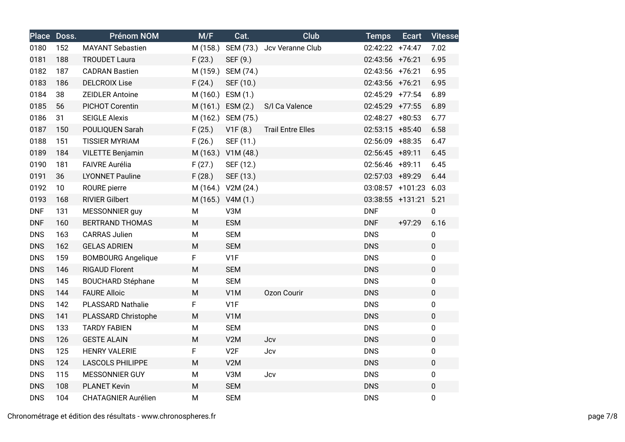|            | Place Doss. | <b>Prénom NOM</b>          | M/F      | Cat.               | Club                                | <b>Temps</b>      | <b>Ecart</b> | <b>Vitesse</b> |
|------------|-------------|----------------------------|----------|--------------------|-------------------------------------|-------------------|--------------|----------------|
| 0180       | 152         | <b>MAYANT Sebastien</b>    |          |                    | M (158.) SEM (73.) Jcv Veranne Club | 02:42:22 +74:47   |              | 7.02           |
| 0181       | 188         | <b>TROUDET Laura</b>       | F(23.)   | SEF (9.)           |                                     | 02:43:56 +76:21   |              | 6.95           |
| 0182       | 187         | <b>CADRAN Bastien</b>      | M (159.) | SEM (74.)          |                                     | 02:43:56 +76:21   |              | 6.95           |
| 0183       | 186         | <b>DELCROIX Lise</b>       | F(24.)   | SEF (10.)          |                                     | 02:43:56 +76:21   |              | 6.95           |
| 0184       | 38          | <b>ZEIDLER Antoine</b>     |          | M (160.) ESM (1.)  |                                     | 02:45:29 +77:54   |              | 6.89           |
| 0185       | 56          | PICHOT Corentin            |          | M (161.) ESM (2.)  | S/I Ca Valence                      | 02:45:29 +77:55   |              | 6.89           |
| 0186       | 31          | <b>SEIGLE Alexis</b>       |          | M (162.) SEM (75.) |                                     | 02:48:27 +80:53   |              | 6.77           |
| 0187       | 150         | POULIQUEN Sarah            | F(25.)   | V1F(8.)            | <b>Trail Entre Elles</b>            | $02:53:15$ +85:40 |              | 6.58           |
| 0188       | 151         | <b>TISSIER MYRIAM</b>      | F(26.)   | SEF (11.)          |                                     | 02:56:09 +88:35   |              | 6.47           |
| 0189       | 184         | <b>VILETTE Benjamin</b>    |          | M (163.) V1M (48.) |                                     | 02:56:45 +89:11   |              | 6.45           |
| 0190       | 181         | <b>FAIVRE Aurélia</b>      | F(27.)   | SEF (12.)          |                                     | 02:56:46 +89:11   |              | 6.45           |
| 0191       | 36          | <b>LYONNET Pauline</b>     | F(28.)   | SEF (13.)          |                                     | 02:57:03 +89:29   |              | 6.44           |
| 0192       | 10          | ROURE pierre               |          | M (164.) V2M (24.) |                                     | 03:08:57 +101:23  |              | 6.03           |
| 0193       | 168         | <b>RIVIER Gilbert</b>      |          | M (165.) V4M (1.)  |                                     | 03:38:55 +131:21  |              | 5.21           |
| <b>DNF</b> | 131         | MESSONNIER guy             | M        | V3M                |                                     | <b>DNF</b>        |              | $\mathbf 0$    |
| <b>DNF</b> | 160         | <b>BERTRAND THOMAS</b>     | M        | <b>ESM</b>         |                                     | <b>DNF</b>        | $+97:29$     | 6.16           |
| <b>DNS</b> | 163         | <b>CARRAS Julien</b>       | M        | <b>SEM</b>         |                                     | <b>DNS</b>        |              | 0              |
| <b>DNS</b> | 162         | <b>GELAS ADRIEN</b>        | M        | <b>SEM</b>         |                                     | <b>DNS</b>        |              | $\pmb{0}$      |
| <b>DNS</b> | 159         | <b>BOMBOURG Angelique</b>  | F        | V1F                |                                     | <b>DNS</b>        |              | $\pmb{0}$      |
| <b>DNS</b> | 146         | <b>RIGAUD Florent</b>      | M        | <b>SEM</b>         |                                     | <b>DNS</b>        |              | $\pmb{0}$      |
| <b>DNS</b> | 145         | <b>BOUCHARD Stéphane</b>   | M        | <b>SEM</b>         |                                     | <b>DNS</b>        |              | $\pmb{0}$      |
| <b>DNS</b> | 144         | <b>FAURE Alloic</b>        | M        | V1M                | <b>Ozon Courir</b>                  | <b>DNS</b>        |              | $\pmb{0}$      |
| <b>DNS</b> | 142         | <b>PLASSARD Nathalie</b>   | F        | V1F                |                                     | <b>DNS</b>        |              | 0              |
| <b>DNS</b> | 141         | PLASSARD Christophe        | M        | V1M                |                                     | <b>DNS</b>        |              | $\pmb{0}$      |
| <b>DNS</b> | 133         | <b>TARDY FABIEN</b>        | M        | <b>SEM</b>         |                                     | <b>DNS</b>        |              | $\pmb{0}$      |
| <b>DNS</b> | 126         | <b>GESTE ALAIN</b>         | M        | V2M                | Jcv                                 | <b>DNS</b>        |              | $\mathbf 0$    |
| <b>DNS</b> | 125         | <b>HENRY VALERIE</b>       | F        | V2F                | Jcv                                 | <b>DNS</b>        |              | $\pmb{0}$      |
| <b>DNS</b> | 124         | <b>LASCOLS PHILIPPE</b>    | M        | V2M                |                                     | <b>DNS</b>        |              | $\pmb{0}$      |
| <b>DNS</b> | 115         | MESSONNIER GUY             | M        | V3M                | Jcv                                 | <b>DNS</b>        |              | $\pmb{0}$      |
| <b>DNS</b> | 108         | <b>PLANET Kevin</b>        | M        | <b>SEM</b>         |                                     | <b>DNS</b>        |              | $\pmb{0}$      |
| <b>DNS</b> | 104         | <b>CHATAGNIER Aurélien</b> | M        | <b>SEM</b>         |                                     | <b>DNS</b>        |              | $\pmb{0}$      |